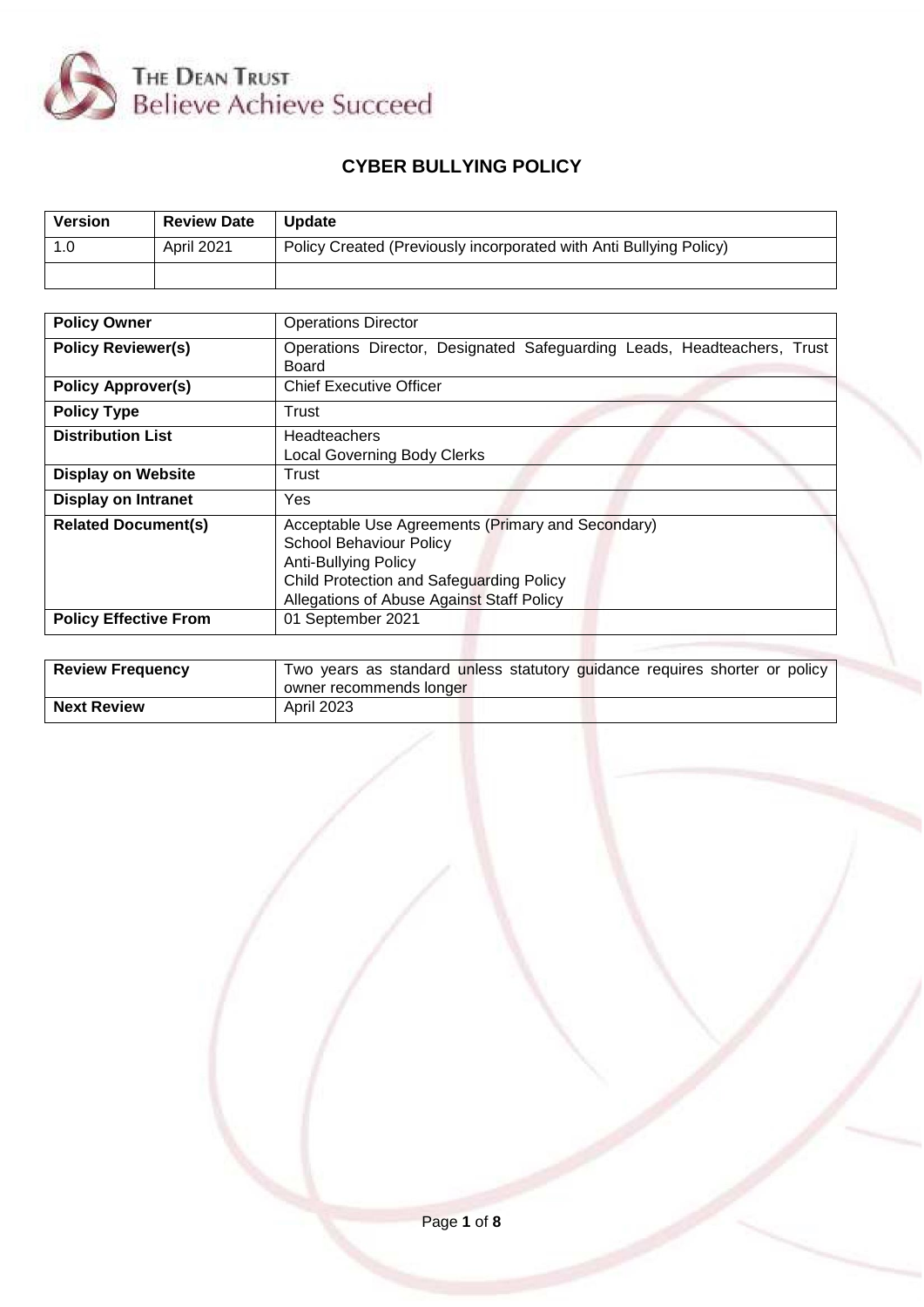

# **CYBER BULLYING POLICY**

| Version | <b>Review Date</b> | <b>Update</b>                                                      |
|---------|--------------------|--------------------------------------------------------------------|
| 1.0     | April 2021         | Policy Created (Previously incorporated with Anti Bullying Policy) |
|         |                    |                                                                    |

| <b>Policy Owner</b>          | <b>Operations Director</b>                                                                                                                                                                                  |
|------------------------------|-------------------------------------------------------------------------------------------------------------------------------------------------------------------------------------------------------------|
| <b>Policy Reviewer(s)</b>    | Operations Director, Designated Safeguarding Leads, Headteachers, Trust<br>Board                                                                                                                            |
| <b>Policy Approver(s)</b>    | <b>Chief Executive Officer</b>                                                                                                                                                                              |
| <b>Policy Type</b>           | Trust                                                                                                                                                                                                       |
| <b>Distribution List</b>     | <b>Headteachers</b><br><b>Local Governing Body Clerks</b>                                                                                                                                                   |
| <b>Display on Website</b>    | Trust                                                                                                                                                                                                       |
| <b>Display on Intranet</b>   | Yes                                                                                                                                                                                                         |
| <b>Related Document(s)</b>   | Acceptable Use Agreements (Primary and Secondary)<br><b>School Behaviour Policy</b><br><b>Anti-Bullying Policy</b><br>Child Protection and Safeguarding Policy<br>Allegations of Abuse Against Staff Policy |
| <b>Policy Effective From</b> | 01 September 2021                                                                                                                                                                                           |
|                              |                                                                                                                                                                                                             |

| <b>Review Frequency</b> | Two years as standard unless statutory guidance requires shorter or policy |
|-------------------------|----------------------------------------------------------------------------|
|                         | owner recommends longer                                                    |
| <b>Next Review</b>      | <b>April 2023</b>                                                          |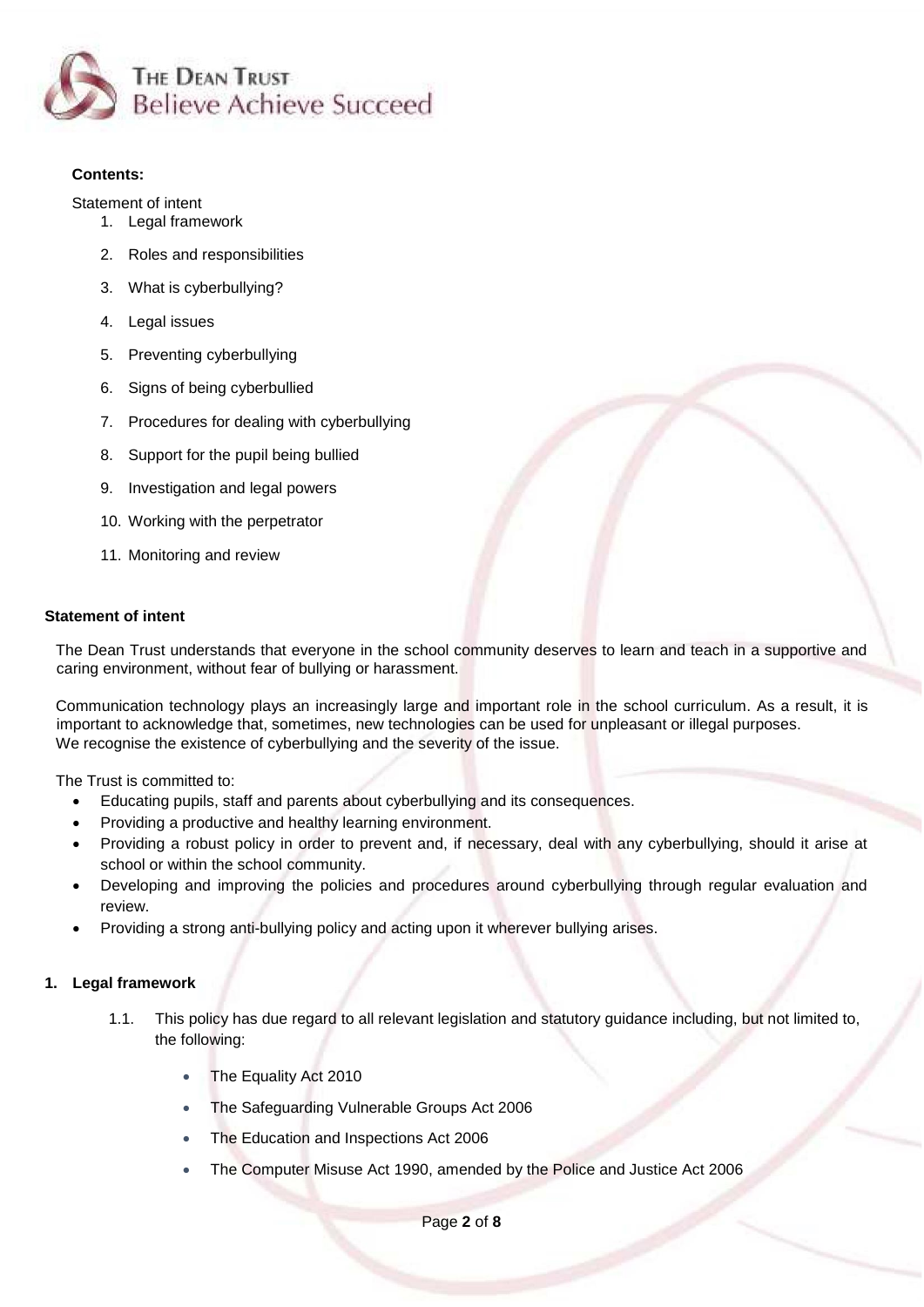

## **Contents:**

[Statement of intent](#page-1-0)

- 1. [Legal framework](#page-1-1)
- 2. [Roles and responsibilities](#page-2-0)
- 3. [What is cyberbullying?](#page-3-0)
- 4. [Legal issues](#page-3-1)
- 5. [Preventing cyberbullying](#page-4-0)
- 6. [Signs of being cyberbullied](#page-4-1)
- 7. [Procedures for dealing with cyberbullying](#page-5-0)
- 8. [Support for the pupil being bullied](#page-6-0)
- 9. [Investigation and legal powers](#page-7-0)
- 10. [Working with the perpetrator](#page-7-1)
- 11. [Monitoring and review](#page-7-2)

## <span id="page-1-0"></span>**Statement of intent**

The Dean Trust understands that everyone in the school community deserves to learn and teach in a supportive and caring environment, without fear of bullying or harassment.

Communication technology plays an increasingly large and important role in the school curriculum. As a result, it is important to acknowledge that, sometimes, new technologies can be used for unpleasant or illegal purposes. We recognise the existence of cyberbullying and the severity of the issue.

The Trust is committed to:

- Educating pupils, staff and parents about cyberbullying and its consequences.
- Providing a productive and healthy learning environment.
- Providing a robust policy in order to prevent and, if necessary, deal with any cyberbullying, should it arise at school or within the school community.
- Developing and improving the policies and procedures around cyberbullying through regular evaluation and review.
- Providing a strong anti-bullying policy and acting upon it wherever bullying arises.

# <span id="page-1-1"></span>**1. Legal framework**

- 1.1. This policy has due regard to all relevant legislation and statutory guidance including, but not limited to, the following:
	- The Equality Act 2010
	- The Safeguarding Vulnerable Groups Act 2006
	- The Education and Inspections Act 2006
	- The Computer Misuse Act 1990, amended by the Police and Justice Act 2006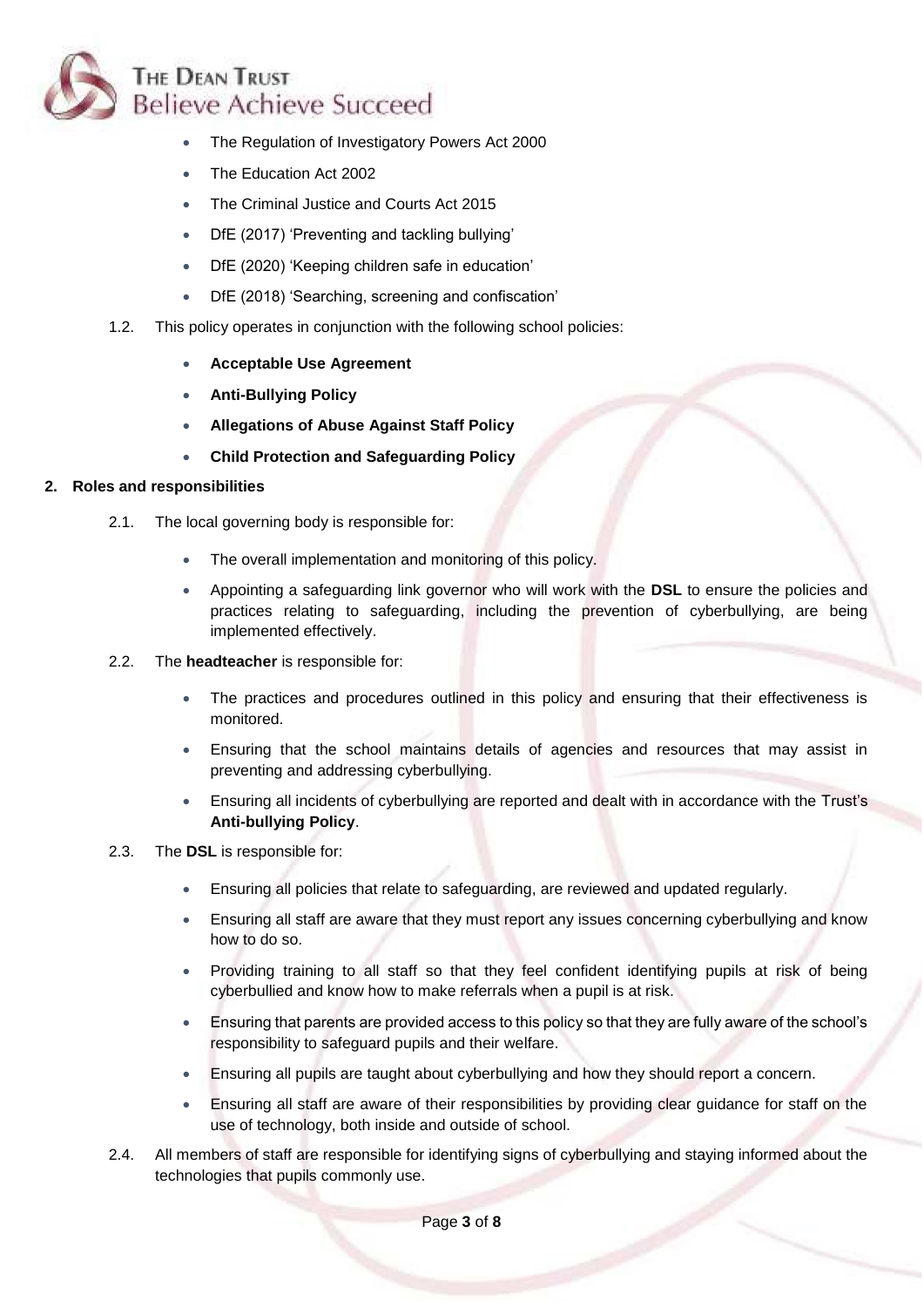

- The Regulation of Investigatory Powers Act 2000
- The Education Act 2002
- The Criminal Justice and Courts Act 2015
- DfE (2017) 'Preventing and tackling bullying'
- DfE (2020) 'Keeping children safe in education'
- DfE (2018) 'Searching, screening and confiscation'
- 1.2. This policy operates in conjunction with the following school policies:
	- **Acceptable Use Agreement**
	- **Anti-Bullying Policy**
	- **Allegations of Abuse Against Staff Policy**
	- **Child Protection and Safeguarding Policy**

## <span id="page-2-0"></span>**2. Roles and responsibilities**

- 2.1. The local governing body is responsible for:
	- The overall implementation and monitoring of this policy.
	- Appointing a safeguarding link governor who will work with the **DSL** to ensure the policies and practices relating to safeguarding, including the prevention of cyberbullying, are being implemented effectively.
- 2.2. The **headteacher** is responsible for:
	- The practices and procedures outlined in this policy and ensuring that their effectiveness is monitored.
	- Ensuring that the school maintains details of agencies and resources that may assist in preventing and addressing cyberbullying.
	- Ensuring all incidents of cyberbullying are reported and dealt with in accordance with the Trust's **Anti-bullying Policy**.
- 2.3. The **DSL** is responsible for:
	- Ensuring all policies that relate to safeguarding, are reviewed and updated regularly.
	- Ensuring all staff are aware that they must report any issues concerning cyberbullying and know how to do so.
	- Providing training to all staff so that they feel confident identifying pupils at risk of being cyberbullied and know how to make referrals when a pupil is at risk.
	- Ensuring that parents are provided access to this policy so that they are fully aware of the school's responsibility to safeguard pupils and their welfare.
	- Ensuring all pupils are taught about cyberbullying and how they should report a concern.
	- Ensuring all staff are aware of their responsibilities by providing clear guidance for staff on the use of technology, both inside and outside of school.
- 2.4. All members of staff are responsible for identifying signs of cyberbullying and staying informed about the technologies that pupils commonly use.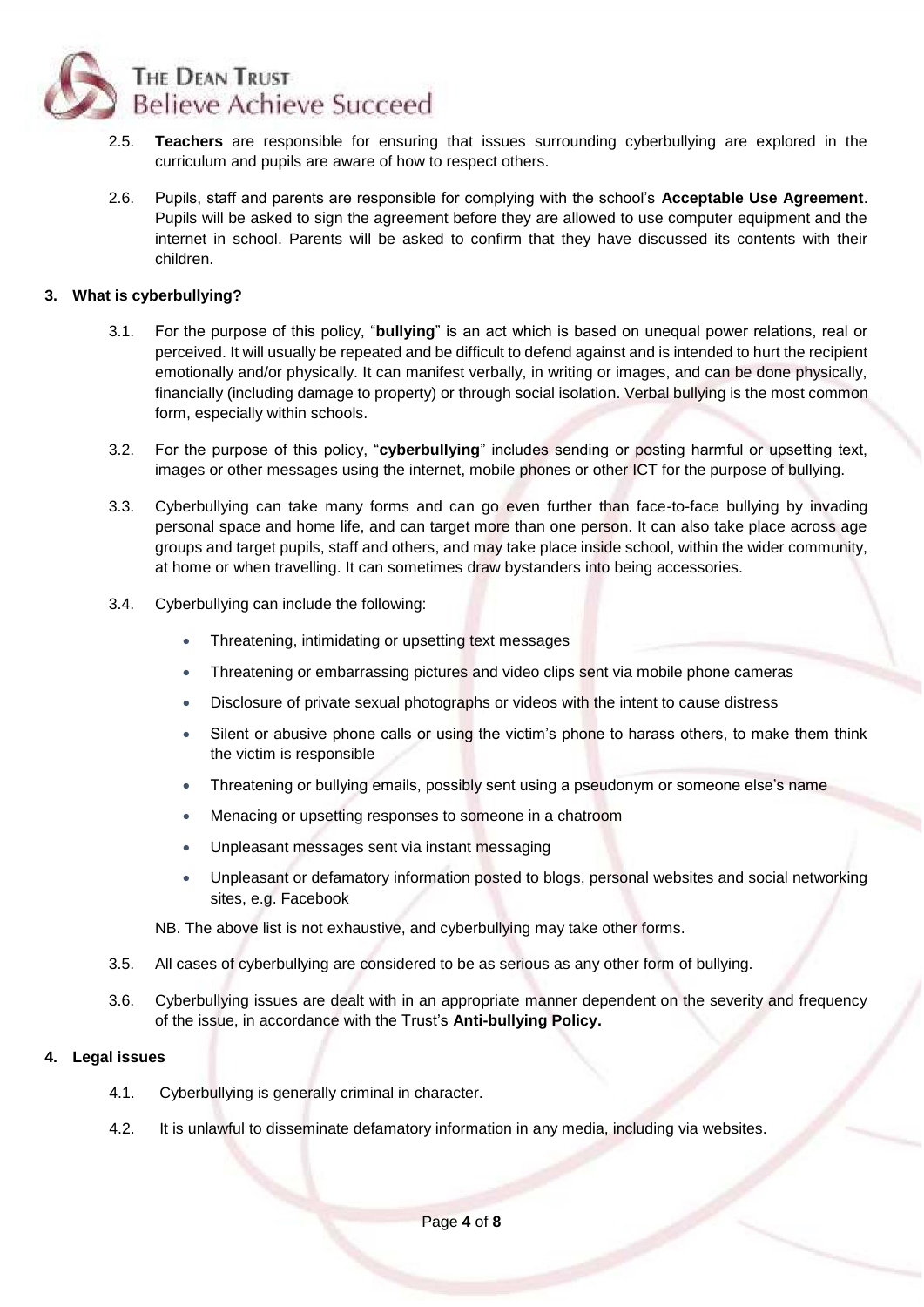

- 2.5. **Teachers** are responsible for ensuring that issues surrounding cyberbullying are explored in the curriculum and pupils are aware of how to respect others.
- 2.6. Pupils, staff and parents are responsible for complying with the school's **Acceptable Use Agreement**. Pupils will be asked to sign the agreement before they are allowed to use computer equipment and the internet in school. Parents will be asked to confirm that they have discussed its contents with their children.

## <span id="page-3-0"></span>**3. What is cyberbullying?**

- 3.1. For the purpose of this policy, "**bullying**" is an act which is based on unequal power relations, real or perceived. It will usually be repeated and be difficult to defend against and is intended to hurt the recipient emotionally and/or physically. It can manifest verbally, in writing or images, and can be done physically, financially (including damage to property) or through social isolation. Verbal bullying is the most common form, especially within schools.
- 3.2. For the purpose of this policy, "**cyberbullying**" includes sending or posting harmful or upsetting text, images or other messages using the internet, mobile phones or other ICT for the purpose of bullying.
- 3.3. Cyberbullying can take many forms and can go even further than face-to-face bullying by invading personal space and home life, and can target more than one person. It can also take place across age groups and target pupils, staff and others, and may take place inside school, within the wider community, at home or when travelling. It can sometimes draw bystanders into being accessories.
- 3.4. Cyberbullying can include the following:
	- Threatening, intimidating or upsetting text messages
	- Threatening or embarrassing pictures and video clips sent via mobile phone cameras
	- Disclosure of private sexual photographs or videos with the intent to cause distress
	- Silent or abusive phone calls or using the victim's phone to harass others, to make them think the victim is responsible
	- Threatening or bullying emails, possibly sent using a pseudonym or someone else's name
	- Menacing or upsetting responses to someone in a chatroom
	- Unpleasant messages sent via instant messaging
	- Unpleasant or defamatory information posted to blogs, personal websites and social networking sites, e.g. Facebook

NB. The above list is not exhaustive, and cyberbullying may take other forms.

- 3.5. All cases of cyberbullying are considered to be as serious as any other form of bullying.
- 3.6. Cyberbullying issues are dealt with in an appropriate manner dependent on the severity and frequency of the issue, in accordance with the Trust's **Anti-bullying Policy.**

## <span id="page-3-1"></span>**4. Legal issues**

- 4.1. Cyberbullying is generally criminal in character.
- 4.2. It is unlawful to disseminate defamatory information in any media, including via websites.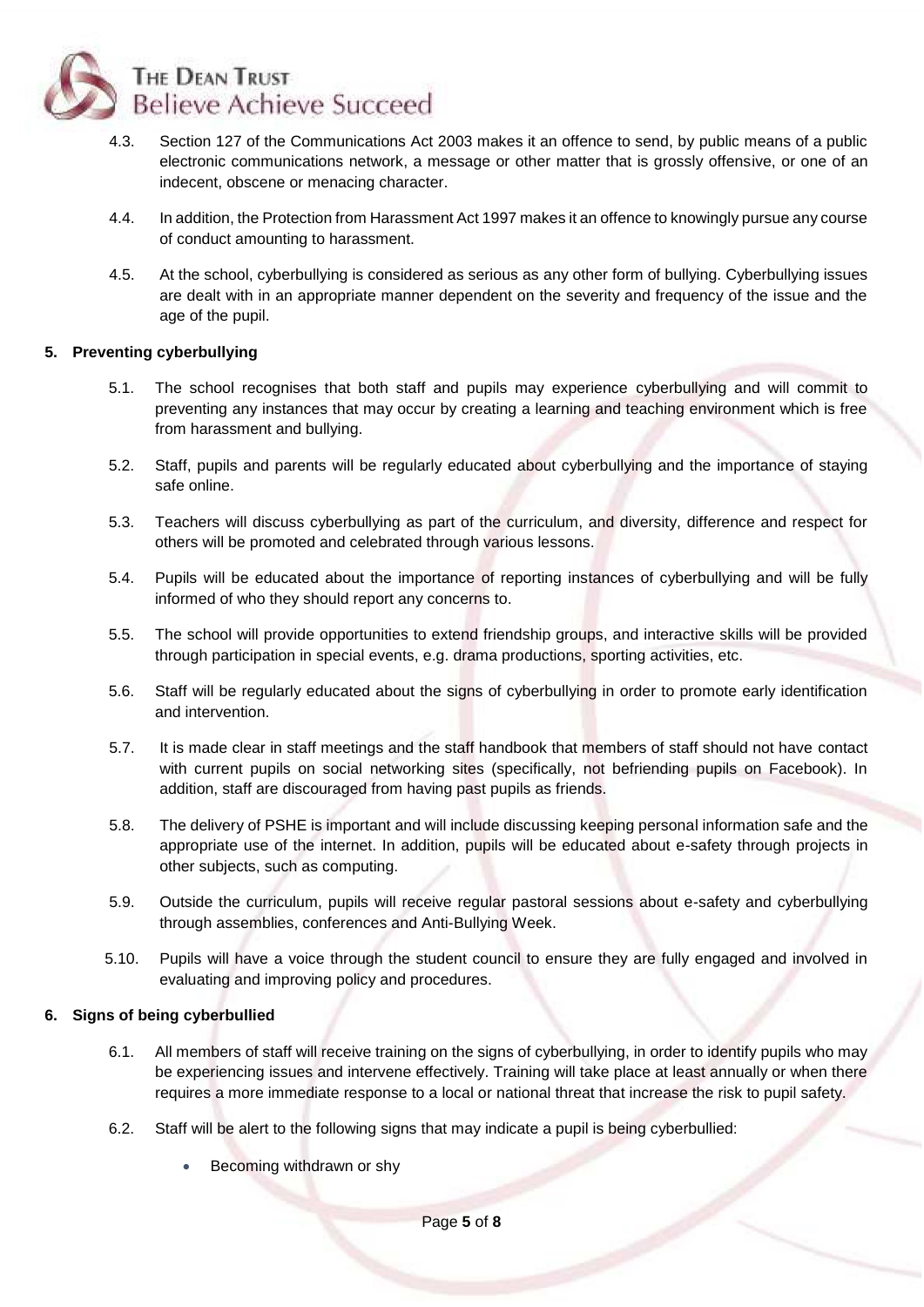

- 4.3. Section 127 of the Communications Act 2003 makes it an offence to send, by public means of a public electronic communications network, a message or other matter that is grossly offensive, or one of an indecent, obscene or menacing character.
- 4.4. In addition, the Protection from Harassment Act 1997 makes it an offence to knowingly pursue any course of conduct amounting to harassment.
- 4.5. At the school, cyberbullying is considered as serious as any other form of bullying. Cyberbullying issues are dealt with in an appropriate manner dependent on the severity and frequency of the issue and the age of the pupil.

#### <span id="page-4-0"></span>**5. Preventing cyberbullying**

- 5.1. The school recognises that both staff and pupils may experience cyberbullying and will commit to preventing any instances that may occur by creating a learning and teaching environment which is free from harassment and bullying.
- 5.2. Staff, pupils and parents will be regularly educated about cyberbullying and the importance of staying safe online.
- 5.3. Teachers will discuss cyberbullying as part of the curriculum, and diversity, difference and respect for others will be promoted and celebrated through various lessons.
- 5.4. Pupils will be educated about the importance of reporting instances of cyberbullying and will be fully informed of who they should report any concerns to.
- 5.5. The school will provide opportunities to extend friendship groups, and interactive skills will be provided through participation in special events, e.g. drama productions, sporting activities, etc.
- 5.6. Staff will be regularly educated about the signs of cyberbullying in order to promote early identification and intervention.
- 5.7. It is made clear in staff meetings and the staff handbook that members of staff should not have contact with current pupils on social networking sites (specifically, not befriending pupils on Facebook). In addition, staff are discouraged from having past pupils as friends.
- 5.8. The delivery of PSHE is important and will include discussing keeping personal information safe and the appropriate use of the internet. In addition, pupils will be educated about e-safety through projects in other subjects, such as computing.
- 5.9. Outside the curriculum, pupils will receive regular pastoral sessions about e-safety and cyberbullying through assemblies, conferences and Anti-Bullying Week.
- 5.10. Pupils will have a voice through the student council to ensure they are fully engaged and involved in evaluating and improving policy and procedures.

## <span id="page-4-1"></span>**6. Signs of being cyberbullied**

- 6.1. All members of staff will receive training on the signs of cyberbullying, in order to identify pupils who may be experiencing issues and intervene effectively. Training will take place at least annually or when there requires a more immediate response to a local or national threat that increase the risk to pupil safety.
- 6.2. Staff will be alert to the following signs that may indicate a pupil is being cyberbullied:
	- Becoming withdrawn or shy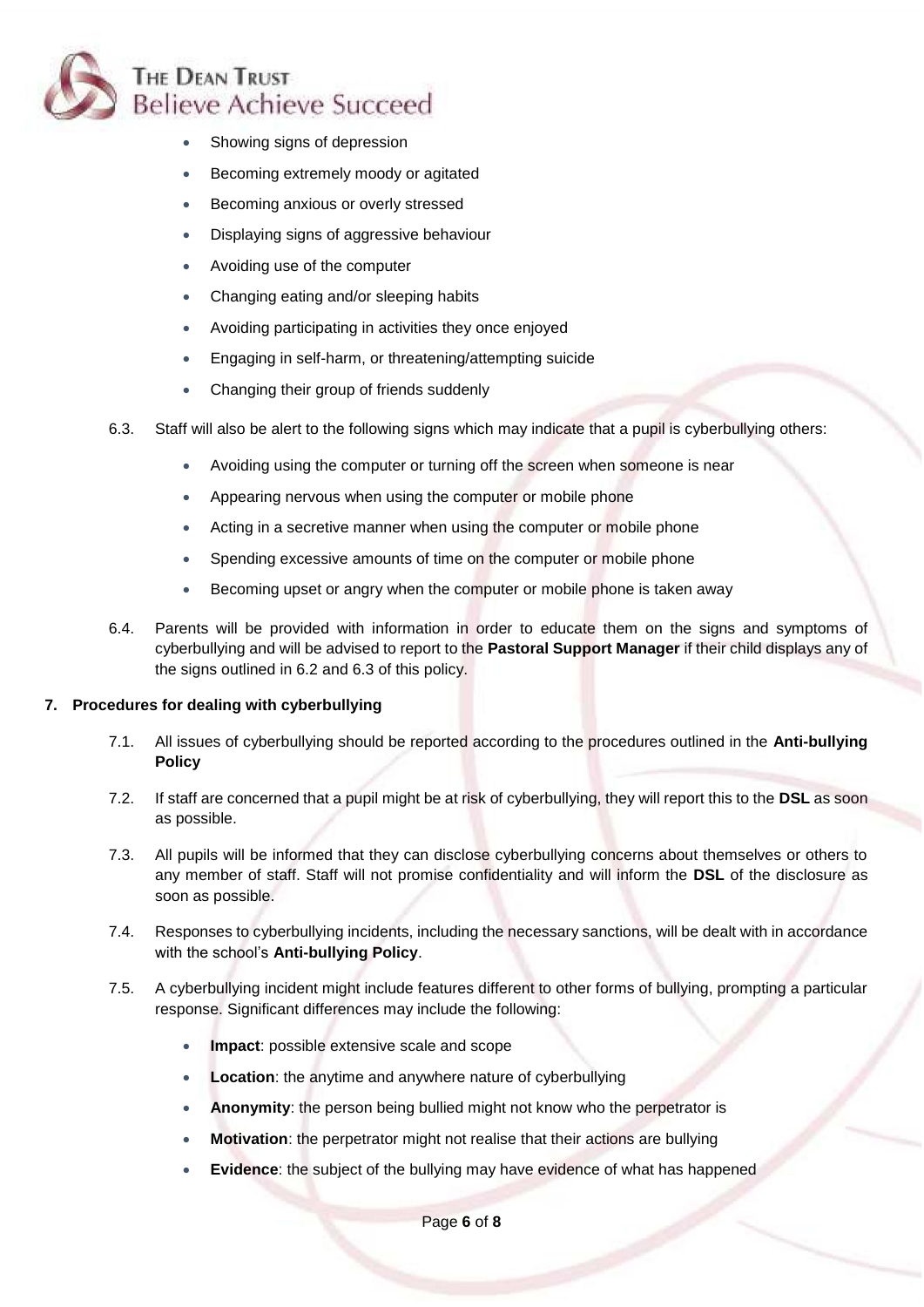

- Showing signs of depression
- Becoming extremely moody or agitated
- Becoming anxious or overly stressed
- Displaying signs of aggressive behaviour
- Avoiding use of the computer
- Changing eating and/or sleeping habits
- Avoiding participating in activities they once enjoyed
- Engaging in self-harm, or threatening/attempting suicide
- Changing their group of friends suddenly
- 6.3. Staff will also be alert to the following signs which may indicate that a pupil is cyberbullying others:
	- Avoiding using the computer or turning off the screen when someone is near
	- Appearing nervous when using the computer or mobile phone
	- Acting in a secretive manner when using the computer or mobile phone
	- Spending excessive amounts of time on the computer or mobile phone
	- Becoming upset or angry when the computer or mobile phone is taken away
- 6.4. Parents will be provided with information in order to educate them on the signs and symptoms of cyberbullying and will be advised to report to the **Pastoral Support Manager** if their child displays any of the signs outlined in 6.2 and 6.3 of this policy.

#### <span id="page-5-0"></span>**7. Procedures for dealing with cyberbullying**

- 7.1. All issues of cyberbullying should be reported according to the procedures outlined in the **Anti-bullying Policy**
- 7.2. If staff are concerned that a pupil might be at risk of cyberbullying, they will report this to the **DSL** as soon as possible.
- 7.3. All pupils will be informed that they can disclose cyberbullying concerns about themselves or others to any member of staff. Staff will not promise confidentiality and will inform the **DSL** of the disclosure as soon as possible.
- 7.4. Responses to cyberbullying incidents, including the necessary sanctions, will be dealt with in accordance with the school's **Anti-bullying Policy**.
- 7.5. A cyberbullying incident might include features different to other forms of bullying, prompting a particular response. Significant differences may include the following:
	- **Impact**: possible extensive scale and scope
	- **Location**: the anytime and anywhere nature of cyberbullying
	- **Anonymity**: the person being bullied might not know who the perpetrator is
	- **Motivation:** the perpetrator might not realise that their actions are bullying
	- **Evidence:** the subject of the bullying may have evidence of what has happened

Page **6** of **8**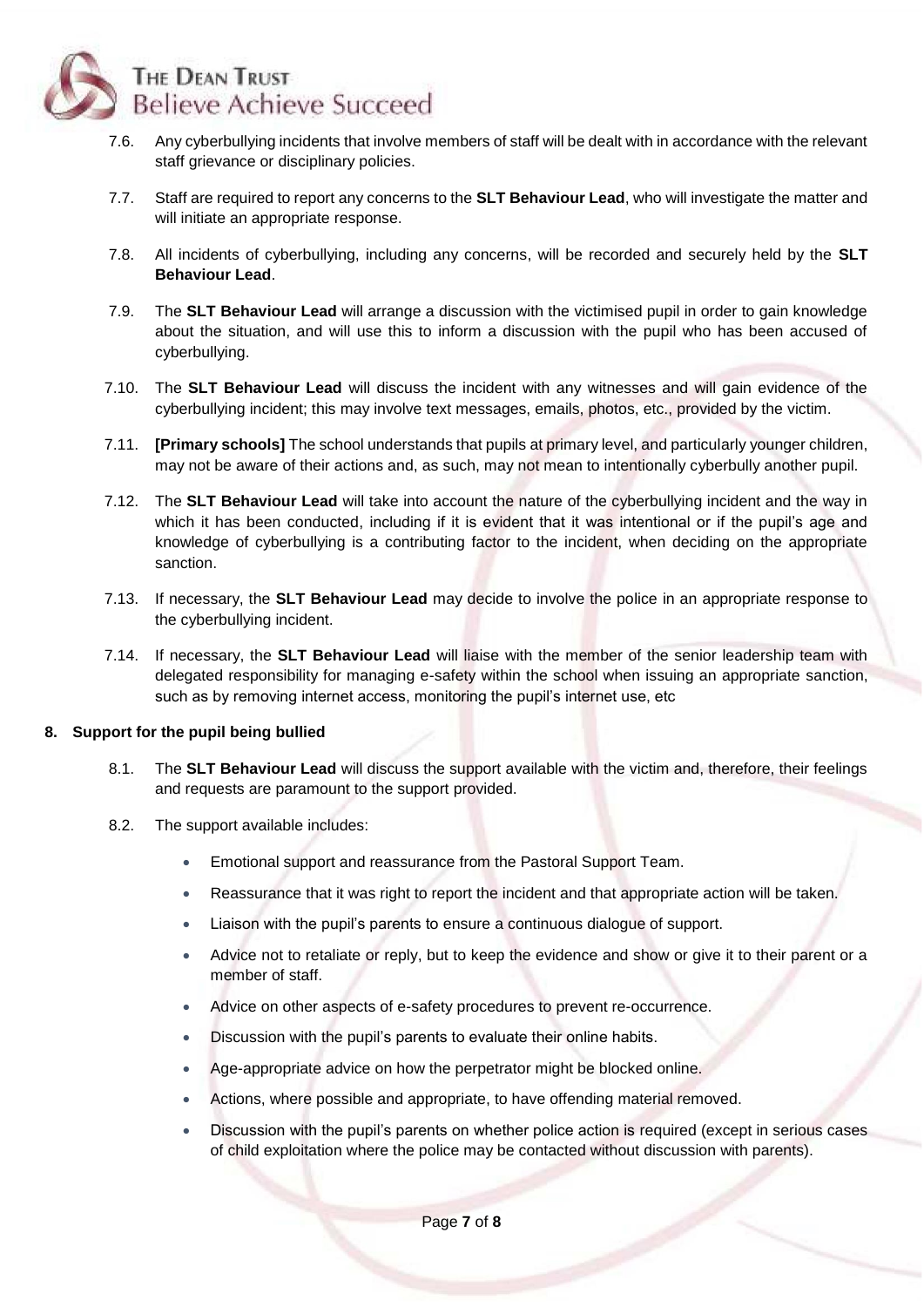

- 7.6. Any cyberbullying incidents that involve members of staff will be dealt with in accordance with the relevant staff grievance or disciplinary policies.
- 7.7. Staff are required to report any concerns to the **SLT Behaviour Lead**, who will investigate the matter and will initiate an appropriate response.
- 7.8. All incidents of cyberbullying, including any concerns, will be recorded and securely held by the **SLT Behaviour Lead**.
- 7.9. The **SLT Behaviour Lead** will arrange a discussion with the victimised pupil in order to gain knowledge about the situation, and will use this to inform a discussion with the pupil who has been accused of cyberbullying.
- 7.10. The **SLT Behaviour Lead** will discuss the incident with any witnesses and will gain evidence of the cyberbullying incident; this may involve text messages, emails, photos, etc., provided by the victim.
- 7.11. **[Primary schools]** The school understands that pupils at primary level, and particularly younger children, may not be aware of their actions and, as such, may not mean to intentionally cyberbully another pupil.
- 7.12. The **SLT Behaviour Lead** will take into account the nature of the cyberbullying incident and the way in which it has been conducted, including if it is evident that it was intentional or if the pupil's age and knowledge of cyberbullying is a contributing factor to the incident, when deciding on the appropriate sanction.
- 7.13. If necessary, the **SLT Behaviour Lead** may decide to involve the police in an appropriate response to the cyberbullying incident.
- 7.14. If necessary, the **SLT Behaviour Lead** will liaise with the member of the senior leadership team with delegated responsibility for managing e-safety within the school when issuing an appropriate sanction, such as by removing internet access, monitoring the pupil's internet use, etc

## <span id="page-6-0"></span>**8. Support for the pupil being bullied**

- 8.1. The **SLT Behaviour Lead** will discuss the support available with the victim and, therefore, their feelings and requests are paramount to the support provided.
- 8.2. The support available includes:
	- Emotional support and reassurance from the Pastoral Support Team.
	- Reassurance that it was right to report the incident and that appropriate action will be taken.
	- Liaison with the pupil's parents to ensure a continuous dialogue of support.
	- Advice not to retaliate or reply, but to keep the evidence and show or give it to their parent or a member of staff.
	- Advice on other aspects of e-safety procedures to prevent re-occurrence.
	- Discussion with the pupil's parents to evaluate their online habits.
	- Age-appropriate advice on how the perpetrator might be blocked online.
	- Actions, where possible and appropriate, to have offending material removed.
	- Discussion with the pupil's parents on whether police action is required (except in serious cases of child exploitation where the police may be contacted without discussion with parents).